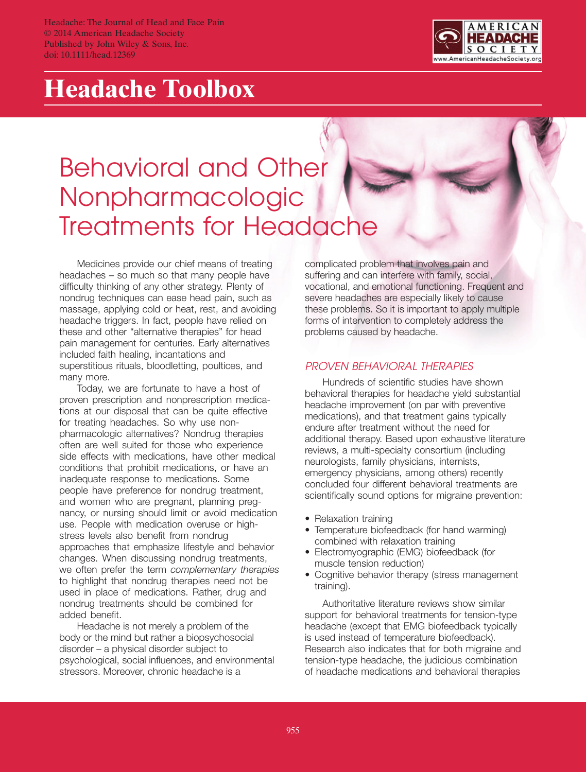

# **Headache Toolbox**

# Behavioral and Other Nonpharmacologic Treatments for Headache

Medicines provide our chief means of treating headaches – so much so that many people have difficulty thinking of any other strategy. Plenty of nondrug techniques can ease head pain, such as massage, applying cold or heat, rest, and avoiding headache triggers. In fact, people have relied on these and other "alternative therapies" for head pain management for centuries. Early alternatives included faith healing, incantations and superstitious rituals, bloodletting, poultices, and many more.

Today, we are fortunate to have a host of proven prescription and nonprescription medications at our disposal that can be quite effective for treating headaches. So why use nonpharmacologic alternatives? Nondrug therapies often are well suited for those who experience side effects with medications, have other medical conditions that prohibit medications, or have an inadequate response to medications. Some people have preference for nondrug treatment, and women who are pregnant, planning pregnancy, or nursing should limit or avoid medication use. People with medication overuse or highstress levels also benefit from nondrug approaches that emphasize lifestyle and behavior changes. When discussing nondrug treatments, we often prefer the term *complementary therapies* to highlight that nondrug therapies need not be used in place of medications. Rather, drug and nondrug treatments should be combined for added benefit.

Headache is not merely a problem of the body or the mind but rather a biopsychosocial disorder – a physical disorder subject to psychological, social influences, and environmental stressors. Moreover, chronic headache is a

complicated problem that involves pain and suffering and can interfere with family, social, vocational, and emotional functioning. Frequent and severe headaches are especially likely to cause these problems. So it is important to apply multiple forms of intervention to completely address the problems caused by headache.

## *PROVEN BEHAVIORAL THERAPIES*

Hundreds of scientific studies have shown behavioral therapies for headache yield substantial headache improvement (on par with preventive medications), and that treatment gains typically endure after treatment without the need for additional therapy. Based upon exhaustive literature reviews, a multi-specialty consortium (including neurologists, family physicians, internists, emergency physicians, among others) recently concluded four different behavioral treatments are scientifically sound options for migraine prevention:

- Relaxation training
- Temperature biofeedback (for hand warming) combined with relaxation training
- Electromyographic (EMG) biofeedback (for muscle tension reduction)
- Cognitive behavior therapy (stress management training).

Authoritative literature reviews show similar support for behavioral treatments for tension-type headache (except that EMG biofeedback typically is used instead of temperature biofeedback). Research also indicates that for both migraine and tension-type headache, the judicious combination of headache medications and behavioral therapies